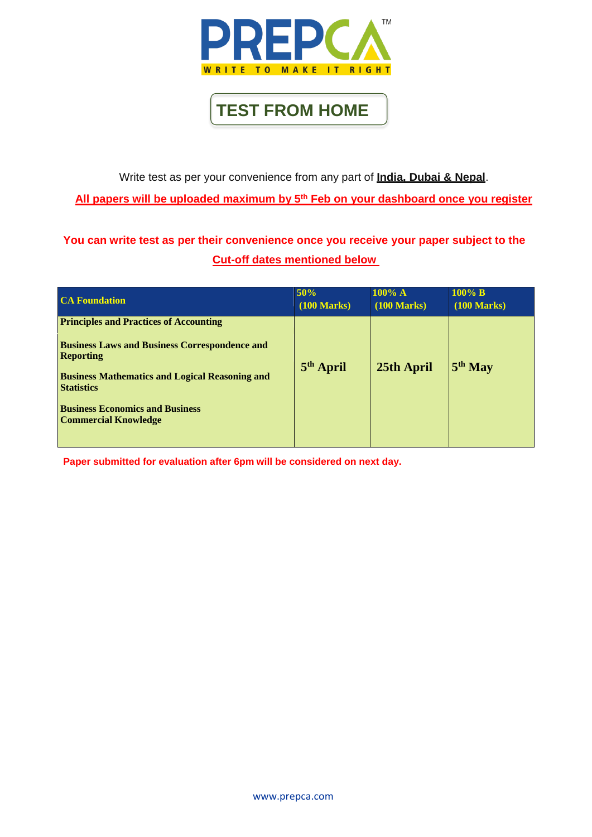[www.prepca.com](http://www.prepca.com/)

Write test as per your convenience from any part of **India, Dubai & Nepal**.

**All papers will be uploaded maximum by 5 th Feb on your dashboard once you register**

## **You can write test as per their convenience once you receive your paper subject to the Cut-off dates mentioned below**

**Paper submitted for evaluation after 6pm will be considered on next day.**

| <b>CA Foundation</b>                                                                                                                                                                                                                                                             | 50%                   | $100\%$ A             | $100\%$ B        |
|----------------------------------------------------------------------------------------------------------------------------------------------------------------------------------------------------------------------------------------------------------------------------------|-----------------------|-----------------------|------------------|
|                                                                                                                                                                                                                                                                                  | $(100 \text{ Marks})$ | $(100 \text{ Marks})$ | $(100$ Marks $)$ |
| <b>Principles and Practices of Accounting</b><br><b>Business Laws and Business Correspondence and</b><br><b>Reporting</b><br><b>Business Mathematics and Logical Reasoning and</b><br><b>Statistics</b><br><b>Business Economics and Business</b><br><b>Commercial Knowledge</b> | 5 <sup>th</sup> April | 25th April            | $5th$ May        |



**TEST FROM HOME**